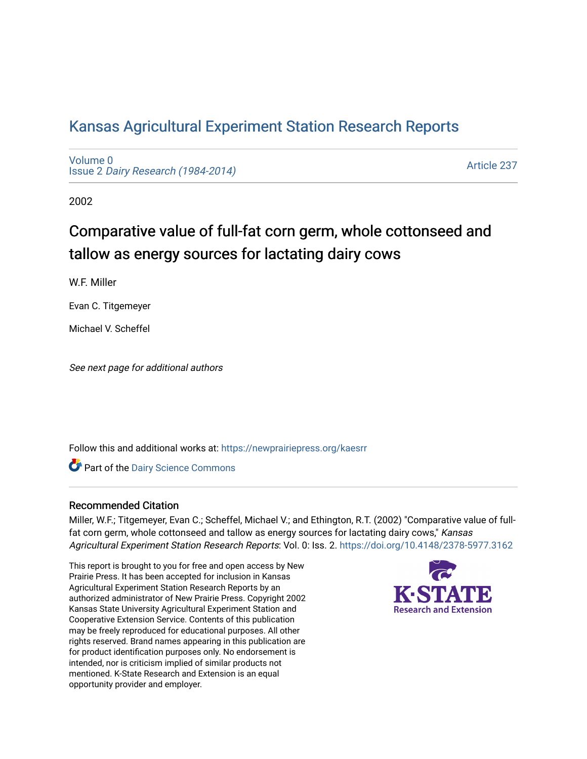# [Kansas Agricultural Experiment Station Research Reports](https://newprairiepress.org/kaesrr)

[Volume 0](https://newprairiepress.org/kaesrr/vol0) Issue 2 [Dairy Research \(1984-2014\)](https://newprairiepress.org/kaesrr/vol0/iss2) 

[Article 237](https://newprairiepress.org/kaesrr/vol0/iss2/237) 

2002

# Comparative value of full-fat corn germ, whole cottonseed and tallow as energy sources for lactating dairy cows

W.F. Miller

Evan C. Titgemeyer

Michael V. Scheffel

See next page for additional authors

Follow this and additional works at: [https://newprairiepress.org/kaesrr](https://newprairiepress.org/kaesrr?utm_source=newprairiepress.org%2Fkaesrr%2Fvol0%2Fiss2%2F237&utm_medium=PDF&utm_campaign=PDFCoverPages) 

Part of the [Dairy Science Commons](http://network.bepress.com/hgg/discipline/79?utm_source=newprairiepress.org%2Fkaesrr%2Fvol0%2Fiss2%2F237&utm_medium=PDF&utm_campaign=PDFCoverPages) 

#### Recommended Citation

Miller, W.F.; Titgemeyer, Evan C.; Scheffel, Michael V.; and Ethington, R.T. (2002) "Comparative value of fullfat corn germ, whole cottonseed and tallow as energy sources for lactating dairy cows," Kansas Agricultural Experiment Station Research Reports: Vol. 0: Iss. 2.<https://doi.org/10.4148/2378-5977.3162>

This report is brought to you for free and open access by New Prairie Press. It has been accepted for inclusion in Kansas Agricultural Experiment Station Research Reports by an authorized administrator of New Prairie Press. Copyright 2002 Kansas State University Agricultural Experiment Station and Cooperative Extension Service. Contents of this publication may be freely reproduced for educational purposes. All other rights reserved. Brand names appearing in this publication are for product identification purposes only. No endorsement is intended, nor is criticism implied of similar products not mentioned. K-State Research and Extension is an equal opportunity provider and employer.

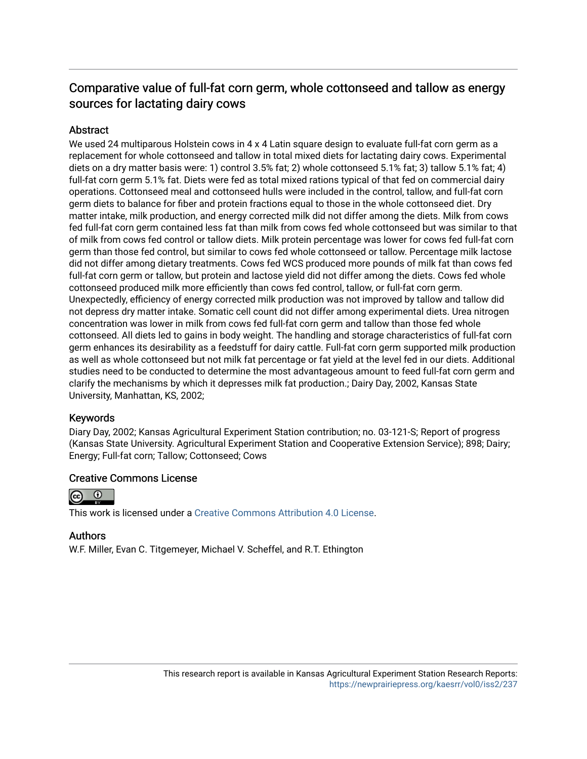## Comparative value of full-fat corn germ, whole cottonseed and tallow as energy sources for lactating dairy cows

### **Abstract**

We used 24 multiparous Holstein cows in 4 x 4 Latin square design to evaluate full-fat corn germ as a replacement for whole cottonseed and tallow in total mixed diets for lactating dairy cows. Experimental diets on a dry matter basis were: 1) control 3.5% fat; 2) whole cottonseed 5.1% fat; 3) tallow 5.1% fat; 4) full-fat corn germ 5.1% fat. Diets were fed as total mixed rations typical of that fed on commercial dairy operations. Cottonseed meal and cottonseed hulls were included in the control, tallow, and full-fat corn germ diets to balance for fiber and protein fractions equal to those in the whole cottonseed diet. Dry matter intake, milk production, and energy corrected milk did not differ among the diets. Milk from cows fed full-fat corn germ contained less fat than milk from cows fed whole cottonseed but was similar to that of milk from cows fed control or tallow diets. Milk protein percentage was lower for cows fed full-fat corn germ than those fed control, but similar to cows fed whole cottonseed or tallow. Percentage milk lactose did not differ among dietary treatments. Cows fed WCS produced more pounds of milk fat than cows fed full-fat corn germ or tallow, but protein and lactose yield did not differ among the diets. Cows fed whole cottonseed produced milk more efficiently than cows fed control, tallow, or full-fat corn germ. Unexpectedly, efficiency of energy corrected milk production was not improved by tallow and tallow did not depress dry matter intake. Somatic cell count did not differ among experimental diets. Urea nitrogen concentration was lower in milk from cows fed full-fat corn germ and tallow than those fed whole cottonseed. All diets led to gains in body weight. The handling and storage characteristics of full-fat corn germ enhances its desirability as a feedstuff for dairy cattle. Full-fat corn germ supported milk production as well as whole cottonseed but not milk fat percentage or fat yield at the level fed in our diets. Additional studies need to be conducted to determine the most advantageous amount to feed full-fat corn germ and clarify the mechanisms by which it depresses milk fat production.; Dairy Day, 2002, Kansas State University, Manhattan, KS, 2002;

#### Keywords

Diary Day, 2002; Kansas Agricultural Experiment Station contribution; no. 03-121-S; Report of progress (Kansas State University. Agricultural Experiment Station and Cooperative Extension Service); 898; Dairy; Energy; Full-fat corn; Tallow; Cottonseed; Cows

#### Creative Commons License



This work is licensed under a [Creative Commons Attribution 4.0 License](https://creativecommons.org/licenses/by/4.0/).

#### Authors

W.F. Miller, Evan C. Titgemeyer, Michael V. Scheffel, and R.T. Ethington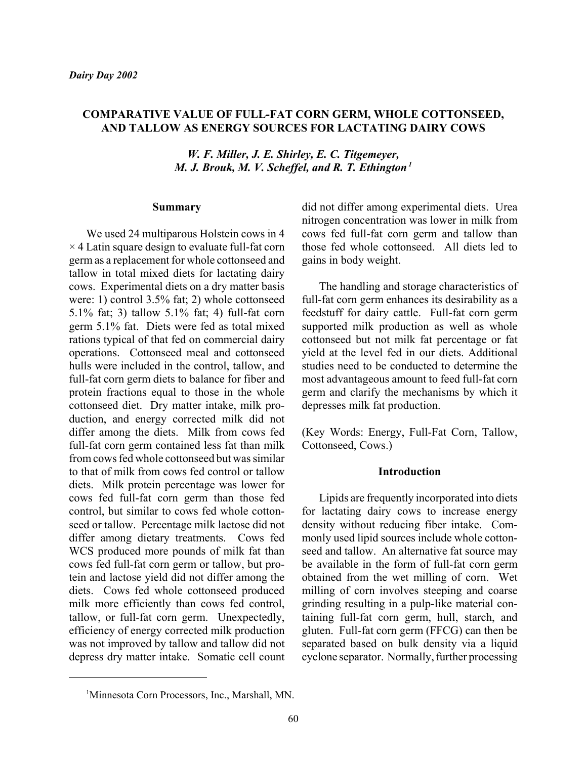#### **COMPARATIVE VALUE OF FULL-FAT CORN GERM, WHOLE COTTONSEED, AND TALLOW AS ENERGY SOURCES FOR LACTATING DAIRY COWS**

*W. F. Miller, J. E. Shirley, E. C. Titgemeyer, M. J. Brouk, M. V. Scheffel, and R. T. Ethington<sup>1</sup>* 

#### **Summary**

We used 24 multiparous Holstein cows in 4  $\times$  4 Latin square design to evaluate full-fat corn germ as a replacement for whole cottonseed and tallow in total mixed diets for lactating dairy cows. Experimental diets on a dry matter basis were: 1) control 3.5% fat; 2) whole cottonseed 5.1% fat; 3) tallow 5.1% fat; 4) full-fat corn germ 5.1% fat. Diets were fed as total mixed rations typical of that fed on commercial dairy operations. Cottonseed meal and cottonseed hulls were included in the control, tallow, and full-fat corn germ diets to balance for fiber and protein fractions equal to those in the whole cottonseed diet. Dry matter intake, milk production, and energy corrected milk did not differ among the diets. Milk from cows fed full-fat corn germ contained less fat than milk from cows fed whole cottonseed but was similar to that of milk from cows fed control or tallow diets. Milk protein percentage was lower for cows fed full-fat corn germ than those fed control, but similar to cows fed whole cottonseed or tallow. Percentage milk lactose did not differ among dietary treatments. Cows fed WCS produced more pounds of milk fat than cows fed full-fat corn germ or tallow, but protein and lactose yield did not differ among the diets. Cows fed whole cottonseed produced milk more efficiently than cows fed control, tallow, or full-fat corn germ. Unexpectedly, efficiency of energy corrected milk production was not improved by tallow and tallow did not depress dry matter intake. Somatic cell count did not differ among experimental diets. Urea nitrogen concentration was lower in milk from cows fed full-fat corn germ and tallow than those fed whole cottonseed. All diets led to gains in body weight.

The handling and storage characteristics of full-fat corn germ enhances its desirability as a feedstuff for dairy cattle. Full-fat corn germ supported milk production as well as whole cottonseed but not milk fat percentage or fat yield at the level fed in our diets. Additional studies need to be conducted to determine the most advantageous amount to feed full-fat corn germ and clarify the mechanisms by which it depresses milk fat production.

(Key Words: Energy, Full-Fat Corn, Tallow, Cottonseed, Cows.)

#### **Introduction**

Lipids are frequently incorporated into diets for lactating dairy cows to increase energy density without reducing fiber intake. Commonly used lipid sources include whole cottonseed and tallow. An alternative fat source may be available in the form of full-fat corn germ obtained from the wet milling of corn. Wet milling of corn involves steeping and coarse grinding resulting in a pulp-like material containing full-fat corn germ, hull, starch, and gluten. Full-fat corn germ (FFCG) can then be separated based on bulk density via a liquid cyclone separator. Normally, further processing

<sup>1</sup> Minnesota Corn Processors, Inc., Marshall, MN.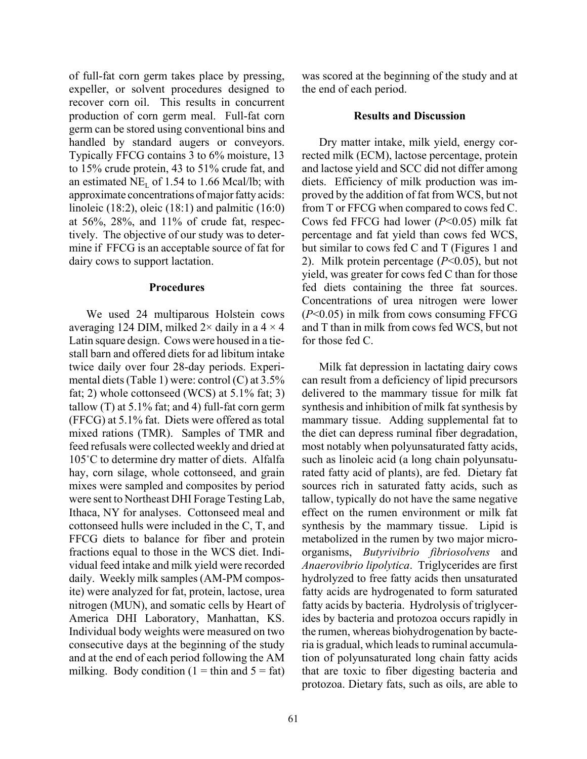of full-fat corn germ takes place by pressing, expeller, or solvent procedures designed to recover corn oil. This results in concurrent production of corn germ meal. Full-fat corn germ can be stored using conventional bins and handled by standard augers or conveyors. Typically FFCG contains 3 to 6% moisture, 13 to 15% crude protein, 43 to 51% crude fat, and an estimated  $NE<sub>L</sub>$  of 1.54 to 1.66 Mcal/lb; with approximate concentrations of major fatty acids: linoleic (18:2), oleic (18:1) and palmitic (16:0) at  $56\%$ ,  $28\%$ , and  $11\%$  of crude fat, respectively. The objective of our study was to determine if FFCG is an acceptable source of fat for dairy cows to support lactation.

#### **Procedures**

We used 24 multiparous Holstein cows averaging 124 DIM, milked  $2 \times$  daily in a  $4 \times 4$ Latin square design. Cows were housed in a tiestall barn and offered diets for ad libitum intake twice daily over four 28-day periods. Experimental diets (Table 1) were: control (C) at 3.5% fat; 2) whole cottonseed (WCS) at 5.1% fat; 3) tallow  $(T)$  at 5.1% fat; and 4) full-fat corn germ (FFCG) at 5.1% fat. Diets were offered as total mixed rations (TMR). Samples of TMR and feed refusals were collected weekly and dried at 105°C to determine dry matter of diets. Alfalfa hay, corn silage, whole cottonseed, and grain mixes were sampled and composites by period were sent to Northeast DHI Forage Testing Lab, Ithaca, NY for analyses. Cottonseed meal and cottonseed hulls were included in the C, T, and FFCG diets to balance for fiber and protein fractions equal to those in the WCS diet. Individual feed intake and milk yield were recorded daily. Weekly milk samples (AM-PM composite) were analyzed for fat, protein, lactose, urea nitrogen (MUN), and somatic cells by Heart of America DHI Laboratory, Manhattan, KS. Individual body weights were measured on two consecutive days at the beginning of the study and at the end of each period following the AM milking. Body condition  $(1 = \text{thin and } 5 = \text{fat})$  was scored at the beginning of the study and at the end of each period.

#### **Results and Discussion**

Dry matter intake, milk yield, energy corrected milk (ECM), lactose percentage, protein and lactose yield and SCC did not differ among diets. Efficiency of milk production was improved by the addition of fat from WCS, but not from T or FFCG when compared to cows fed C. Cows fed FFCG had lower (*P*<0.05) milk fat percentage and fat yield than cows fed WCS, but similar to cows fed C and T (Figures 1 and 2). Milk protein percentage (*P*<0.05), but not yield, was greater for cows fed C than for those fed diets containing the three fat sources. Concentrations of urea nitrogen were lower (*P*<0.05) in milk from cows consuming FFCG and T than in milk from cows fed WCS, but not for those fed C.

Milk fat depression in lactating dairy cows can result from a deficiency of lipid precursors delivered to the mammary tissue for milk fat synthesis and inhibition of milk fat synthesis by mammary tissue. Adding supplemental fat to the diet can depress ruminal fiber degradation, most notably when polyunsaturated fatty acids, such as linoleic acid (a long chain polyunsaturated fatty acid of plants), are fed. Dietary fat sources rich in saturated fatty acids, such as tallow, typically do not have the same negative effect on the rumen environment or milk fat synthesis by the mammary tissue. Lipid is metabolized in the rumen by two major microorganisms, *Butyrivibrio fibriosolvens* and *Anaerovibrio lipolytica*. Triglycerides are first hydrolyzed to free fatty acids then unsaturated fatty acids are hydrogenated to form saturated fatty acids by bacteria. Hydrolysis of triglycerides by bacteria and protozoa occurs rapidly in the rumen, whereas biohydrogenation by bacteria is gradual, which leads to ruminal accumulation of polyunsaturated long chain fatty acids that are toxic to fiber digesting bacteria and protozoa. Dietary fats, such as oils, are able to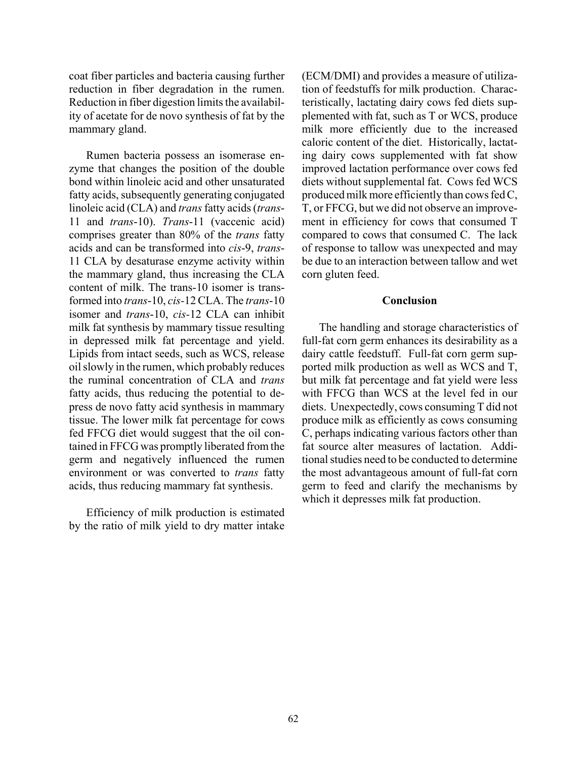coat fiber particles and bacteria causing further reduction in fiber degradation in the rumen. Reduction in fiber digestion limits the availability of acetate for de novo synthesis of fat by the mammary gland.

Rumen bacteria possess an isomerase enzyme that changes the position of the double bond within linoleic acid and other unsaturated fatty acids, subsequently generating conjugated linoleic acid (CLA) and *trans* fatty acids (*trans*-11 and *trans*-10). *Trans*-11 (vaccenic acid) comprises greater than 80% of the *trans* fatty acids and can be transformed into *cis*-9, *trans*-11 CLA by desaturase enzyme activity within the mammary gland, thus increasing the CLA content of milk. The trans-10 isomer is transformed into *trans*-10, *cis-*12 CLA. The *trans*-10 isomer and *trans*-10, *cis-*12 CLA can inhibit milk fat synthesis by mammary tissue resulting in depressed milk fat percentage and yield. Lipids from intact seeds, such as WCS, release oil slowly in the rumen, which probably reduces the ruminal concentration of CLA and *trans* fatty acids, thus reducing the potential to depress de novo fatty acid synthesis in mammary tissue. The lower milk fat percentage for cows fed FFCG diet would suggest that the oil contained in FFCG was promptly liberated from the germ and negatively influenced the rumen environment or was converted to *trans* fatty acids, thus reducing mammary fat synthesis.

Efficiency of milk production is estimated by the ratio of milk yield to dry matter intake

(ECM/DMI) and provides a measure of utilization of feedstuffs for milk production. Characteristically, lactating dairy cows fed diets supplemented with fat, such as T or WCS, produce milk more efficiently due to the increased caloric content of the diet. Historically, lactating dairy cows supplemented with fat show improved lactation performance over cows fed diets without supplemental fat. Cows fed WCS produced milk more efficiently than cows fed C, T, or FFCG, but we did not observe an improvement in efficiency for cows that consumed T compared to cows that consumed C. The lack of response to tallow was unexpected and may be due to an interaction between tallow and wet corn gluten feed.

#### **Conclusion**

The handling and storage characteristics of full-fat corn germ enhances its desirability as a dairy cattle feedstuff. Full-fat corn germ supported milk production as well as WCS and T, but milk fat percentage and fat yield were less with FFCG than WCS at the level fed in our diets. Unexpectedly, cows consuming T did not produce milk as efficiently as cows consuming C, perhaps indicating various factors other than fat source alter measures of lactation. Additional studies need to be conducted to determine the most advantageous amount of full-fat corn germ to feed and clarify the mechanisms by which it depresses milk fat production.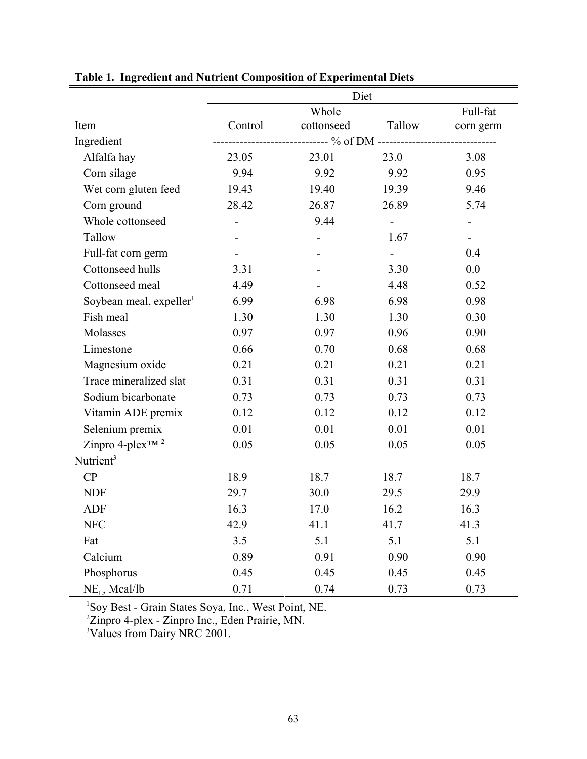|                                     | Diet                           |                          |          |           |  |  |
|-------------------------------------|--------------------------------|--------------------------|----------|-----------|--|--|
|                                     |                                | Whole                    | Full-fat |           |  |  |
| Item                                | Control                        | cottonseed               | Tallow   | corn germ |  |  |
| Ingredient                          | ---------- % of DM ----------- |                          |          |           |  |  |
| Alfalfa hay                         | 23.05                          | 23.01                    | 23.0     | 3.08      |  |  |
| Corn silage                         | 9.94                           | 9.92                     | 9.92     | 0.95      |  |  |
| Wet corn gluten feed                | 19.43                          | 19.40                    | 19.39    | 9.46      |  |  |
| Corn ground                         | 28.42                          | 26.87                    | 26.89    | 5.74      |  |  |
| Whole cottonseed                    |                                | 9.44                     |          |           |  |  |
| Tallow                              |                                | $\overline{\phantom{a}}$ | 1.67     |           |  |  |
| Full-fat corn germ                  |                                |                          |          | 0.4       |  |  |
| Cottonseed hulls                    | 3.31                           |                          | 3.30     | 0.0       |  |  |
| Cottonseed meal                     | 4.49                           |                          | 4.48     | 0.52      |  |  |
| Soybean meal, expeller <sup>1</sup> | 6.99                           | 6.98                     | 6.98     | 0.98      |  |  |
| Fish meal                           | 1.30                           | 1.30                     | 1.30     | 0.30      |  |  |
| Molasses                            | 0.97                           | 0.97                     | 0.96     | 0.90      |  |  |
| Limestone                           | 0.66                           | 0.70                     | 0.68     | 0.68      |  |  |
| Magnesium oxide                     | 0.21                           | 0.21                     | 0.21     | 0.21      |  |  |
| Trace mineralized slat              | 0.31                           | 0.31                     | 0.31     | 0.31      |  |  |
| Sodium bicarbonate                  | 0.73                           | 0.73                     | 0.73     | 0.73      |  |  |
| Vitamin ADE premix                  | 0.12                           | 0.12                     | 0.12     | 0.12      |  |  |
| Selenium premix                     | 0.01                           | 0.01                     | 0.01     | 0.01      |  |  |
| Zinpro 4-plex <sup>™ 2</sup>        | 0.05                           | 0.05                     | 0.05     | 0.05      |  |  |
| Nutrient <sup>3</sup>               |                                |                          |          |           |  |  |
| CP                                  | 18.9                           | 18.7                     | 18.7     | 18.7      |  |  |
| <b>NDF</b>                          | 29.7                           | 30.0                     | 29.5     | 29.9      |  |  |
| <b>ADF</b>                          | 16.3                           | 17.0                     | 16.2     | 16.3      |  |  |
| <b>NFC</b>                          | 42.9                           | 41.1                     | 41.7     | 41.3      |  |  |
| Fat                                 | 3.5                            | 5.1                      | 5.1      | 5.1       |  |  |
| Calcium                             | 0.89                           | 0.91                     | 0.90     | 0.90      |  |  |
| Phosphorus                          | 0.45                           | 0.45                     | 0.45     | 0.45      |  |  |
| $NEL$ , Mcal/lb                     | 0.71                           | 0.74                     | 0.73     | 0.73      |  |  |

**Table 1. Ingredient and Nutrient Composition of Experimental Diets**

1 Soy Best - Grain States Soya, Inc., West Point, NE.

2 Zinpro 4-plex - Zinpro Inc., Eden Prairie, MN.

<sup>3</sup>Values from Dairy NRC 2001.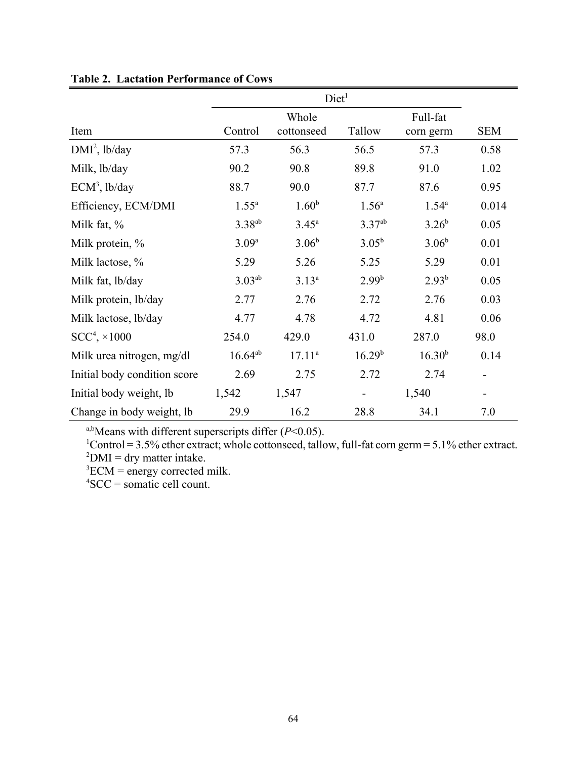|                              | Diet <sup>1</sup>  |                |                    |                    |            |
|------------------------------|--------------------|----------------|--------------------|--------------------|------------|
|                              | Whole              |                |                    | Full-fat           |            |
| Item                         | Control            | cottonseed     | Tallow             | corn germ          | <b>SEM</b> |
| $DMI2$ , lb/day              | 57.3               | 56.3           | 56.5               | 57.3               | 0.58       |
| Milk, lb/day                 | 90.2               | 90.8           | 89.8               | 91.0               | 1.02       |
| $ECM3$ , lb/day              | 88.7               | 90.0           | 87.7               | 87.6               | 0.95       |
| Efficiency, ECM/DMI          | $1.55^{\circ}$     | $1.60^{b}$     | $1.56^{\circ}$     | $1.54^{\circ}$     | 0.014      |
| Milk fat, $\%$               | 3.38 <sup>ab</sup> | $3.45^{\circ}$ | $3.37^{ab}$        | $3.26^{b}$         | 0.05       |
| Milk protein, %              | $3.09^{a}$         | $3.06^{b}$     | $3.05^{b}$         | $3.06^{b}$         | 0.01       |
| Milk lactose, %              | 5.29               | 5.26           | 5.25               | 5.29               | 0.01       |
| Milk fat, lb/day             | $3.03^{ab}$        | $3.13^{a}$     | $2.99^{b}$         | $2.93^{b}$         | 0.05       |
| Milk protein, lb/day         | 2.77               | 2.76           | 2.72               | 2.76               | 0.03       |
| Milk lactose, lb/day         | 4.77               | 4.78           | 4.72               | 4.81               | 0.06       |
| $SCC4, \times 1000$          | 254.0              | 429.0          | 431.0              | 287.0              | 98.0       |
| Milk urea nitrogen, mg/dl    | $16.64^{ab}$       | $17.11^{a}$    | 16.29 <sup>b</sup> | 16.30 <sup>b</sup> | 0.14       |
| Initial body condition score | 2.69               | 2.75           | 2.72               | 2.74               | ۰          |
| Initial body weight, lb      | 1,542              | 1,547          |                    | 1,540              |            |
| Change in body weight, lb    | 29.9               | 16.2           | 28.8               | 34.1               | 7.0        |

## **Table 2. Lactation Performance of Cows**

a,bMeans with different superscripts differ (*P*<0.05).

 ${}^{1}$ Control = 3.5% ether extract; whole cottonseed, tallow, full-fat corn germ = 5.1% ether extract.  ${}^{2}$ DMI = dry matter intake.

 ${}^{3}$ ECM = energy corrected milk.

4 SCC = somatic cell count.